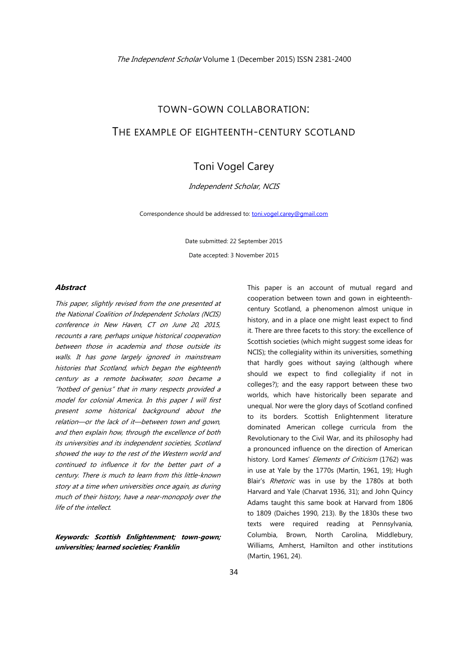# TOWN-GOWN COLLABORATION: THE EXAMPLE OF EIGHTEENTH-CENTURY SCOTLAND

# Toni Vogel Carey

# Independent Scholar, NCIS

Correspondence should be addressed to: toni.vogel.carey@gmail.com

Date submitted: 22 September 2015

Date accepted: 3 November 2015

# **Abstract**

This paper, slightly revised from the one presented at the National Coalition of Independent Scholars (NCIS) conference in New Haven, CT on June 20, 2015, recounts a rare, perhaps unique historical cooperation between those in academia and those outside its walls. It has gone largely ignored in mainstream histories that Scotland, which began the eighteenth century as a remote backwater, soon became a "hotbed of genius" that in many respects provided a model for colonial America. In this paper I will first present some historical background about the relation—or the lack of it—between town and gown, and then explain how, through the excellence of both its universities and its independent societies, Scotland showed the way to the rest of the Western world and continued to influence it for the better part of a century. There is much to learn from this little-known story at a time when universities once again, as during much of their history, have a near-monopoly over the life of the intellect.

**Keywords: Scottish Enlightenment; town-gown; universities; learned societies; Franklin** 

This paper is an account of mutual regard and cooperation between town and gown in eighteenthcentury Scotland, a phenomenon almost unique in history, and in a place one might least expect to find it. There are three facets to this story: the excellence of Scottish societies (which might suggest some ideas for NCIS); the collegiality within its universities, something that hardly goes without saying (although where should we expect to find collegiality if not in colleges?); and the easy rapport between these two worlds, which have historically been separate and unequal. Nor were the glory days of Scotland confined to its borders. Scottish Enlightenment literature dominated American college curricula from the Revolutionary to the Civil War, and its philosophy had a pronounced influence on the direction of American history. Lord Kames' Elements of Criticism (1762) was in use at Yale by the 1770s (Martin, 1961, 19); Hugh Blair's Rhetoric was in use by the 1780s at both Harvard and Yale (Charvat 1936, 31); and John Quincy Adams taught this same book at Harvard from 1806 to 1809 (Daiches 1990, 213). By the 1830s these two texts were required reading at Pennsylvania, Columbia, Brown, North Carolina, Middlebury, Williams, Amherst, Hamilton and other institutions (Martin, 1961, 24).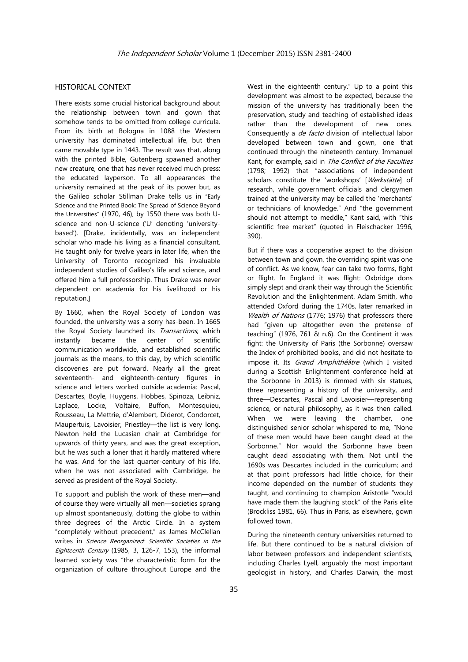# HISTORICAL CONTEXT

There exists some crucial historical background about the relationship between town and gown that somehow tends to be omitted from college curricula. From its birth at Bologna in 1088 the Western university has dominated intellectual life, but then came movable type in 1443. The result was that, along with the printed Bible, Gutenberg spawned another new creature, one that has never received much press: the educated layperson. To all appearances the university remained at the peak of its power but, as the Galileo scholar Stillman Drake tells us in "Early Science and the Printed Book: The Spread of Science Beyond the Universities" (1970, 46), by 1550 there was both Uscience and non-U-science ('U' denoting 'universitybased'). [Drake, incidentally, was an independent scholar who made his living as a financial consultant. He taught only for twelve years in later life, when the University of Toronto recognized his invaluable independent studies of Galileo's life and science, and offered him a full professorship. Thus Drake was never dependent on academia for his livelihood or his reputation.]

By 1660, when the Royal Society of London was founded, the university was a sorry has-been. In 1665 the Royal Society launched its Transactions, which instantly became the center of scientific communication worldwide, and established scientific journals as the means, to this day, by which scientific discoveries are put forward. Nearly all the great seventeenth- and eighteenth-century figures in science and letters worked outside academia: Pascal, Descartes, Boyle, Huygens, Hobbes, Spinoza, Leibniz, Laplace, Locke, Voltaire, Buffon, Montesquieu, Rousseau, La Mettrie, d'Alembert, Diderot, Condorcet, Maupertuis, Lavoisier, Priestley—the list is very long. Newton held the Lucasian chair at Cambridge for upwards of thirty years, and was the great exception, but he was such a loner that it hardly mattered where he was. And for the last quarter-century of his life, when he was not associated with Cambridge, he served as president of the Royal Society.

To support and publish the work of these men—and of course they were virtually all men—societies sprang up almost spontaneously, dotting the globe to within three degrees of the Arctic Circle. In a system "completely without precedent," as James McClellan writes in *Science Reorganized: Scientific Societies in the* Eighteenth Century (1985, 3, 126-7, 153), the informal learned society was "the characteristic form for the organization of culture throughout Europe and the

West in the eighteenth century." Up to a point this development was almost to be expected, because the mission of the university has traditionally been the preservation, study and teaching of established ideas rather than the development of new ones. Consequently a *de facto* division of intellectual labor developed between town and gown, one that continued through the nineteenth century. Immanuel Kant, for example, said in The Conflict of the Faculties (1798; 1992) that "associations of independent scholars constitute the 'workshops' [Werkstätte] of research, while government officials and clergymen trained at the university may be called the 'merchants' or technicians of knowledge." And "the government should not attempt to meddle," Kant said, with "this scientific free market" (quoted in Fleischacker 1996, 390).

But if there was a cooperative aspect to the division between town and gown, the overriding spirit was one of conflict. As we know, fear can take two forms, fight or flight. In England it was flight: Oxbridge dons simply slept and drank their way through the Scientific Revolution and the Enlightenment. Adam Smith, who attended Oxford during the 1740s, later remarked in Wealth of Nations (1776; 1976) that professors there had "given up altogether even the pretense of teaching" (1976, 761 & n.6). On the Continent it was fight: the University of Paris (the Sorbonne) oversaw the Index of prohibited books, and did not hesitate to impose it. Its Grand Amphithéâtre (which I visited during a Scottish Enlightenment conference held at the Sorbonne in 2013) is rimmed with six statues, three representing a history of the university, and three—Descartes, Pascal and Lavoisier—representing science, or natural philosophy, as it was then called. When we were leaving the chamber, one distinguished senior scholar whispered to me, "None of these men would have been caught dead at the Sorbonne." Nor would the Sorbonne have been caught dead associating with them. Not until the 1690s was Descartes included in the curriculum; and at that point professors had little choice, for their income depended on the number of students they taught, and continuing to champion Aristotle "would have made them the laughing stock" of the Paris elite (Brockliss 1981, 66). Thus in Paris, as elsewhere, gown followed town.

During the nineteenth century universities returned to life. But there continued to be a natural division of labor between professors and independent scientists, including Charles Lyell, arguably the most important geologist in history, and Charles Darwin, the most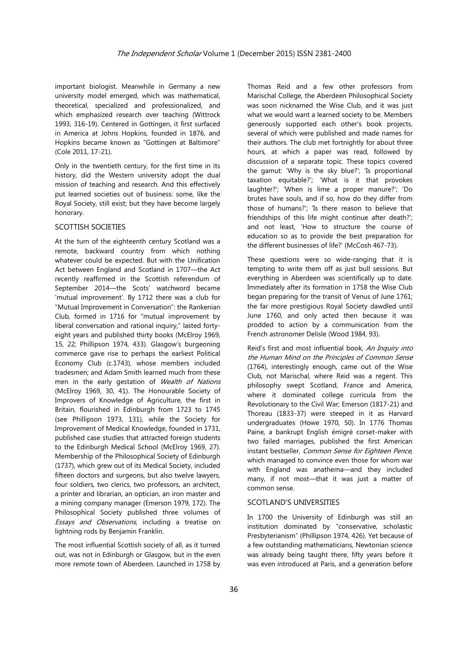important biologist. Meanwhile in Germany a new university model emerged, which was mathematical, theoretical, specialized and professionalized, and which emphasized research over teaching (Wittrock 1993, 316-19). Centered in Gottingen, it first surfaced in America at Johns Hopkins, founded in 1876, and Hopkins became known as "Gottingen at Baltimore" (Cole 2011, 17-21).

Only in the twentieth century, for the first time in its history, did the Western university adopt the dual mission of teaching and research. And this effectively put learned societies out of business: some, like the Royal Society, still exist; but they have become largely honorary.

# SCOTTISH SOCIETIES

At the turn of the eighteenth century Scotland was a remote, backward country from which nothing whatever could be expected. But with the Unification Act between England and Scotland in 1707—the Act recently reaffirmed in the Scottish referendum of September 2014—the Scots' watchword became 'mutual improvement'. By 1712 there was a club for "Mutual Improvement in Conversation": the Rankenian Club, formed in 1716 for "mutual improvement by liberal conversation and rational inquiry," lasted fortyeight years and published thirty books (McElroy 1969, 15, 22; Phillipson 1974, 433). Glasgow's burgeoning commerce gave rise to perhaps the earliest Political Economy Club (c.1743), whose members included tradesmen; and Adam Smith learned much from these men in the early gestation of Wealth of Nations (McElroy 1969, 30, 41). The Honourable Society of Improvers of Knowledge of Agriculture, the first in Britain, flourished in Edinburgh from 1723 to 1745 (see Phillipson 1973, 131), while the Society for Improvement of Medical Knowledge, founded in 1731, published case studies that attracted foreign students to the Edinburgh Medical School (McElroy 1969, 27). Membership of the Philosophical Society of Edinburgh (1737), which grew out of its Medical Society, included fifteen doctors and surgeons, but also twelve lawyers, four soldiers, two clerics, two professors, an architect, a printer and librarian, an optician, an iron master and a mining company manager (Emerson 1979, 172). The Philosophical Society published three volumes of Essays and Observations, including a treatise on lightning rods by Benjamin Franklin.

The most influential Scottish society of all, as it turned out, was not in Edinburgh or Glasgow, but in the even more remote town of Aberdeen. Launched in 1758 by Thomas Reid and a few other professors from Marischal College, the Aberdeen Philosophical Society was soon nicknamed the Wise Club, and it was just what we would want a learned society to be. Members generously supported each other's book projects, several of which were published and made names for their authors. The club met fortnightly for about three hours, at which a paper was read, followed by discussion of a separate topic. These topics covered the gamut: 'Why is the sky blue?'; 'Is proportional taxation equitable?'; 'What is it that provokes laughter?'; 'When is lime a proper manure?'; 'Do brutes have souls, and if so, how do they differ from those of humans?'; 'Is there reason to believe that friendships of this life might continue after death?'; and not least, 'How to structure the course of education so as to provide the best preparation for the different businesses of life?' (McCosh 467-73).

These questions were so wide-ranging that it is tempting to write them off as just bull sessions. But everything in Aberdeen was scientifically up to date. Immediately after its formation in 1758 the Wise Club began preparing for the transit of Venus of June 1761; the far more prestigious Royal Society dawdled until June 1760, and only acted then because it was prodded to action by a communication from the French astronomer Delisle (Wood 1984, 93).

Reid's first and most influential book, An Inquiry into the Human Mind on the Principles of Common Sense (1764), interestingly enough, came out of the Wise Club, not Marischal, where Reid was a regent. This philosophy swept Scotland, France and America, where it dominated college curricula from the Revolutionary to the Civil War; Emerson (1817-21) and Thoreau (1833-37) were steeped in it as Harvard undergraduates (Howe 1970, 50). In 1776 Thomas Paine, a bankrupt English émigré corset-maker with two failed marriages, published the first American instant bestseller, Common Sense for Eighteen Pence, which managed to convince even those for whom war with England was anathema—and they included many, if not most—that it was just a matter of common sense.

#### SCOTLAND'S UNIVERSITIES

In 1700 the University of Edinburgh was still an institution dominated by "conservative, scholastic Presbyterianism" (Phillipson 1974, 426). Yet because of a few outstanding mathematicians, Newtonian science was already being taught there, fifty years before it was even introduced at Paris, and a generation before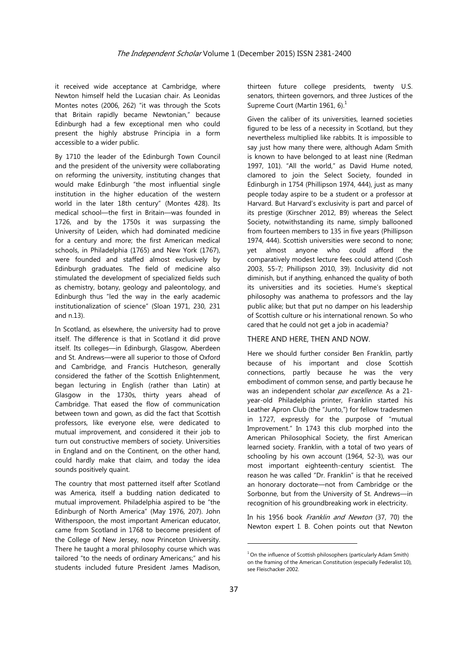it received wide acceptance at Cambridge, where Newton himself held the Lucasian chair. As Leonidas Montes notes (2006, 262) "it was through the Scots that Britain rapidly became Newtonian," because Edinburgh had a few exceptional men who could present the highly abstruse Principia in a form accessible to a wider public.

By 1710 the leader of the Edinburgh Town Council and the president of the university were collaborating on reforming the university, instituting changes that would make Edinburgh "the most influential single institution in the higher education of the western world in the later 18th century" (Montes 428). Its medical school—the first in Britain—was founded in 1726, and by the 1750s it was surpassing the University of Leiden, which had dominated medicine for a century and more; the first American medical schools, in Philadelphia (1765) and New York (1767), were founded and staffed almost exclusively by Edinburgh graduates. The field of medicine also stimulated the development of specialized fields such as chemistry, botany, geology and paleontology, and Edinburgh thus "led the way in the early academic institutionalization of science" (Sloan 1971, 230, 231 and n.13).

In Scotland, as elsewhere, the university had to prove itself. The difference is that in Scotland it did prove itself. Its colleges—in Edinburgh, Glasgow, Aberdeen and St. Andrews—were all superior to those of Oxford and Cambridge, and Francis Hutcheson, generally considered the father of the Scottish Enlightenment, began lecturing in English (rather than Latin) at Glasgow in the 1730s, thirty years ahead of Cambridge. That eased the flow of communication between town and gown, as did the fact that Scottish professors, like everyone else, were dedicated to mutual improvement, and considered it their job to turn out constructive members of society. Universities in England and on the Continent, on the other hand, could hardly make that claim, and today the idea sounds positively quaint.

The country that most patterned itself after Scotland was America, itself a budding nation dedicated to mutual improvement. Philadelphia aspired to be "the Edinburgh of North America" (May 1976, 207). John Witherspoon, the most important American educator, came from Scotland in 1768 to become president of the College of New Jersey, now Princeton University. There he taught a moral philosophy course which was tailored "to the needs of ordinary Americans;" and his students included future President James Madison,

thirteen future college presidents, twenty U.S. senators, thirteen governors, and three Justices of the Supreme Court (Martin 1961, 6). $<sup>1</sup>$ </sup>

Given the caliber of its universities, learned societies figured to be less of a necessity in Scotland, but they nevertheless multiplied like rabbits. It is impossible to say just how many there were, although Adam Smith is known to have belonged to at least nine (Redman 1997, 101). "All the world," as David Hume noted, clamored to join the Select Society, founded in Edinburgh in 1754 (Phillipson 1974, 444), just as many people today aspire to be a student or a professor at Harvard. But Harvard's exclusivity is part and parcel of its prestige (Kirschner 2012, B9) whereas the Select Society, notwithstanding its name, simply ballooned from fourteen members to 135 in five years (Phillipson 1974, 444). Scottish universities were second to none; yet almost anyone who could afford the comparatively modest lecture fees could attend (Cosh 2003, 55-7; Phillipson 2010, 39). Inclusivity did not diminish, but if anything, enhanced the quality of both its universities and its societies. Hume's skeptical philosophy was anathema to professors and the lay public alike; but that put no damper on his leadership of Scottish culture or his international renown. So who cared that he could not get a job in academia?

#### THERE AND HERE, THEN AND NOW.

Here we should further consider Ben Franklin, partly because of his important and close Scottish connections, partly because he was the very embodiment of common sense, and partly because he was an independent scholar par excellence. As a 21year-old Philadelphia printer, Franklin started his Leather Apron Club (the "Junto,") for fellow tradesmen in 1727, expressly for the purpose of "mutual Improvement." In 1743 this club morphed into the American Philosophical Society, the first American learned society. Franklin, with a total of two years of schooling by his own account (1964, 52-3), was our most important eighteenth-century scientist. The reason he was called "Dr. Franklin" is that he received an honorary doctorate—not from Cambridge or the Sorbonne, but from the University of St. Andrews—in recognition of his groundbreaking work in electricity.

In his 1956 book *Franklin and Newton* (37, 70) the Newton expert I. B. Cohen points out that Newton

<u> Terminal de la propincia de la propincia de la propincia de la propincia de la propincia de la propincia de l</u>

 $1$  On the influence of Scottish philosophers (particularly Adam Smith) on the framing of the American Constitution (especially Federalist 10), see Fleischacker 2002.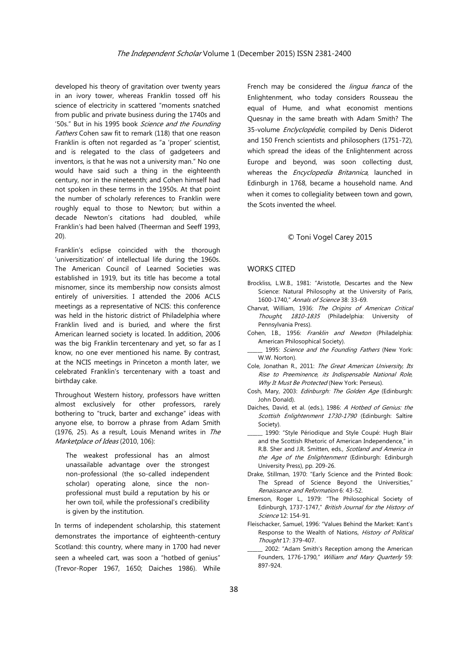developed his theory of gravitation over twenty years in an ivory tower, whereas Franklin tossed off his science of electricity in scattered "moments snatched from public and private business during the 1740s and '50s." But in his 1995 book Science and the Founding Fathers Cohen saw fit to remark (118) that one reason Franklin is often not regarded as "a 'proper' scientist, and is relegated to the class of gadgeteers and inventors, is that he was not a university man." No one would have said such a thing in the eighteenth century, nor in the nineteenth; and Cohen himself had not spoken in these terms in the 1950s. At that point the number of scholarly references to Franklin were roughly equal to those to Newton; but within a decade Newton's citations had doubled, while Franklin's had been halved (Theerman and Seeff 1993, 20).

Franklin's eclipse coincided with the thorough 'universitization' of intellectual life during the 1960s. The American Council of Learned Societies was established in 1919, but its title has become a total misnomer, since its membership now consists almost entirely of universities. I attended the 2006 ACLS meetings as a representative of NCIS: this conference was held in the historic district of Philadelphia where Franklin lived and is buried, and where the first American learned society is located. In addition, 2006 was the big Franklin tercentenary and yet, so far as I know, no one ever mentioned his name. By contrast, at the NCIS meetings in Princeton a month later, we celebrated Franklin's tercentenary with a toast and birthday cake.

Throughout Western history, professors have written almost exclusively for other professors, rarely bothering to "truck, barter and exchange" ideas with anyone else, to borrow a phrase from Adam Smith (1976, 25). As a result, Louis Menand writes in The Marketplace of Ideas (2010, 106):

The weakest professional has an almost unassailable advantage over the strongest non-professional (the so-called independent scholar) operating alone, since the nonprofessional must build a reputation by his or her own toil, while the professional's credibility is given by the institution.

In terms of independent scholarship, this statement demonstrates the importance of eighteenth-century Scotland: this country, where many in 1700 had never seen a wheeled cart, was soon a "hotbed of genius" (Trevor-Roper 1967, 1650; Daiches 1986). While French may be considered the *lingua franca* of the Enlightenment, who today considers Rousseau the equal of Hume, and what economist mentions Quesnay in the same breath with Adam Smith? The 35-volume Enclyclopédie, compiled by Denis Diderot and 150 French scientists and philosophers (1751-72), which spread the ideas of the Enlightenment across Europe and beyond, was soon collecting dust, whereas the *Encyclopedia Britannica*, launched in Edinburgh in 1768, became a household name. And when it comes to collegiality between town and gown, the Scots invented the wheel.

### © Toni Vogel Carey 2015

#### WORKS CITED

- Brockliss, L.W.B., 1981: "Aristotle, Descartes and the New Science: Natural Philosophy at the University of Paris, 1600-1740," Annals of Science 38: 33-69.
- Charvat, William, 1936: The Origins of American Critical Thought, 1810-1835 (Philadelphia: University of Pennsylvania Press).
- Cohen, I.B., 1956: Franklin and Newton (Philadelphia: American Philosophical Society).
- 1995: Science and the Founding Fathers (New York: W.W. Norton).
- Cole, Jonathan R., 2011: The Great American University, Its Rise to Preeminence, its Indispensable National Role, Why It Must Be Protected (New York: Perseus).
- Cosh, Mary, 2003: Edinburgh: The Golden Age (Edinburgh: John Donald).
- Daiches, David, et al. (eds.), 1986: A Hotbed of Genius: the Scottish Enlightenment 1730-1790 (Edinburgh: Saltire Society).
- 1990: "Style Périodique and Style Coupé: Hugh Blair and the Scottish Rhetoric of American Independence," in R.B. Sher and J.R. Smitten, eds., Scotland and America in the Age of the Enlightenment (Edinburgh: Edinburgh University Press), pp. 209-26.
- Drake, Stillman, 1970: "Early Science and the Printed Book: The Spread of Science Beyond the Universities," Renaissance and Reformation 6: 43-52.
- Emerson, Roger L., 1979: "The Philosophical Society of Edinburgh, 1737-1747," British Journal for the History of Science 12: 154-91.
- Fleischacker, Samuel, 1996: "Values Behind the Market: Kant's Response to the Wealth of Nations, History of Political Thought 17: 379-407.
- \_\_\_\_\_\_ 2002: "Adam Smith's Reception among the American Founders, 1776-1790," William and Mary Quarterly 59: 897-924.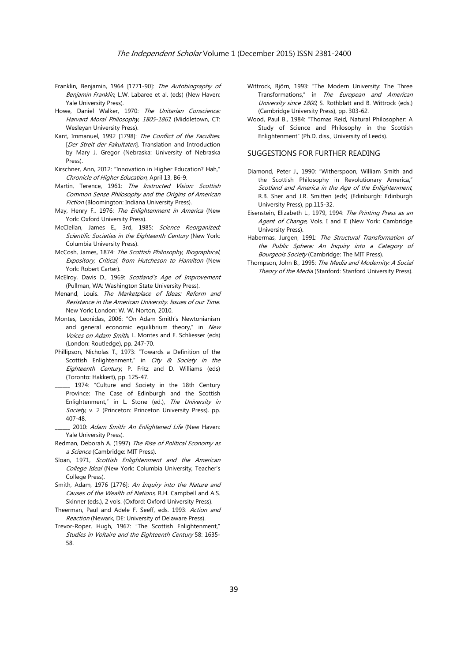- Franklin, Benjamin, 1964 [1771-90]: The Autobiography of Benjamin Franklin, L.W. Labaree et al. (eds) (New Haven: Yale University Press).
- Howe, Daniel Walker, 1970: The Unitarian Conscience: Harvard Moral Philosophy, 1805-1861 (Middletown, CT: Wesleyan University Press).
- Kant, Immanuel, 1992 [1798]: The Conflict of the Faculties. [Der Streit der Fakultaten]. Translation and Introduction by Mary J. Gregor (Nebraska: University of Nebraska Press).
- Kirschner, Ann, 2012: "Innovation in Higher Education? Hah," Chronicle of Higher Education, April 13, B6-9.
- Martin, Terence, 1961: The Instructed Vision: Scottish Common Sense Philosophy and the Origins of American Fiction (Bloomington: Indiana University Press).
- May, Henry F., 1976: The Enlightenment in America (New York: Oxford University Press).
- McClellan, James E., 3rd, 1985: Science Reorganized: Scientific Societies in the Eighteenth Century (New York: Columbia University Press).
- McCosh, James, 1874: The Scottish Philosophy, Biographical, Expository, Critical, from Hutcheson to Hamilton (New York: Robert Carter).
- McElroy, Davis D., 1969: Scotland's Age of Improvement (Pullman, WA: Washington State University Press).
- Menand, Louis. The Marketplace of Ideas: Reform and Resistance in the American University. Issues of our Time. New York; London: W. W. Norton, 2010.
- Montes, Leonidas, 2006: "On Adam Smith's Newtonianism and general economic equilibrium theory," in New Voices on Adam Smith, L. Montes and E. Schliesser (eds) (London: Routledge), pp. 247-70.
- Phillipson, Nicholas T., 1973: "Towards a Definition of the Scottish Enlightenment," in City & Society in the Eighteenth Century, P. Fritz and D. Williams (eds) (Toronto: Hakkert), pp. 125-47.
- 1974: "Culture and Society in the 18th Century Province: The Case of Edinburgh and the Scottish Enlightenment," in L. Stone (ed.), The University in Society, v. 2 (Princeton: Princeton University Press), pp. 407-48.
- 2010: Adam Smith: An Enlightened Life (New Haven: Yale University Press).
- Redman, Deborah A. (1997) The Rise of Political Economy as a Science (Cambridge: MIT Press).
- Sloan, 1971, Scottish Enlightenment and the American College Ideal (New York: Columbia University, Teacher's College Press).
- Smith, Adam, 1976 [1776]: An Inquiry into the Nature and Causes of the Wealth of Nations, R.H. Campbell and A.S. Skinner (eds.), 2 vols. (Oxford: Oxford University Press).
- Theerman, Paul and Adele F. Seeff, eds. 1993: Action and Reaction (Newark, DE: University of Delaware Press).
- Trevor-Roper, Hugh, 1967: "The Scottish Enlightenment," Studies in Voltaire and the Eighteenth Century 58: 1635- 58.
- Wittrock, Björn, 1993: "The Modern University: The Three Transformations," in The European and American University since 1800, S. Rothblatt and B. Wittrock (eds.) (Cambridge University Press), pp. 303-62.
- Wood, Paul B., 1984: "Thomas Reid, Natural Philosopher: A Study of Science and Philosophy in the Scottish Enlightenment" (Ph.D. diss., University of Leeds).

#### SUGGESTIONS FOR FURTHER READING

- Diamond, Peter J., 1990: "Witherspoon, William Smith and the Scottish Philosophy in Revolutionary America," Scotland and America in the Age of the Enlightenment, R.B. Sher and J.R. Smitten (eds) (Edinburgh: Edinburgh University Press), pp.115-32.
- Eisenstein, Elizabeth L., 1979, 1994: The Printing Press as an Agent of Change, Vols. I and II (New York: Cambridge University Press).
- Habermas, Jurgen, 1991: The Structural Transformation of the Public Sphere: An Inquiry into a Category of Bourgeois Society (Cambridge: The MIT Press).
- Thompson, John B., 1995: The Media and Modernity: A Social Theory of the Media (Stanford: Stanford University Press).